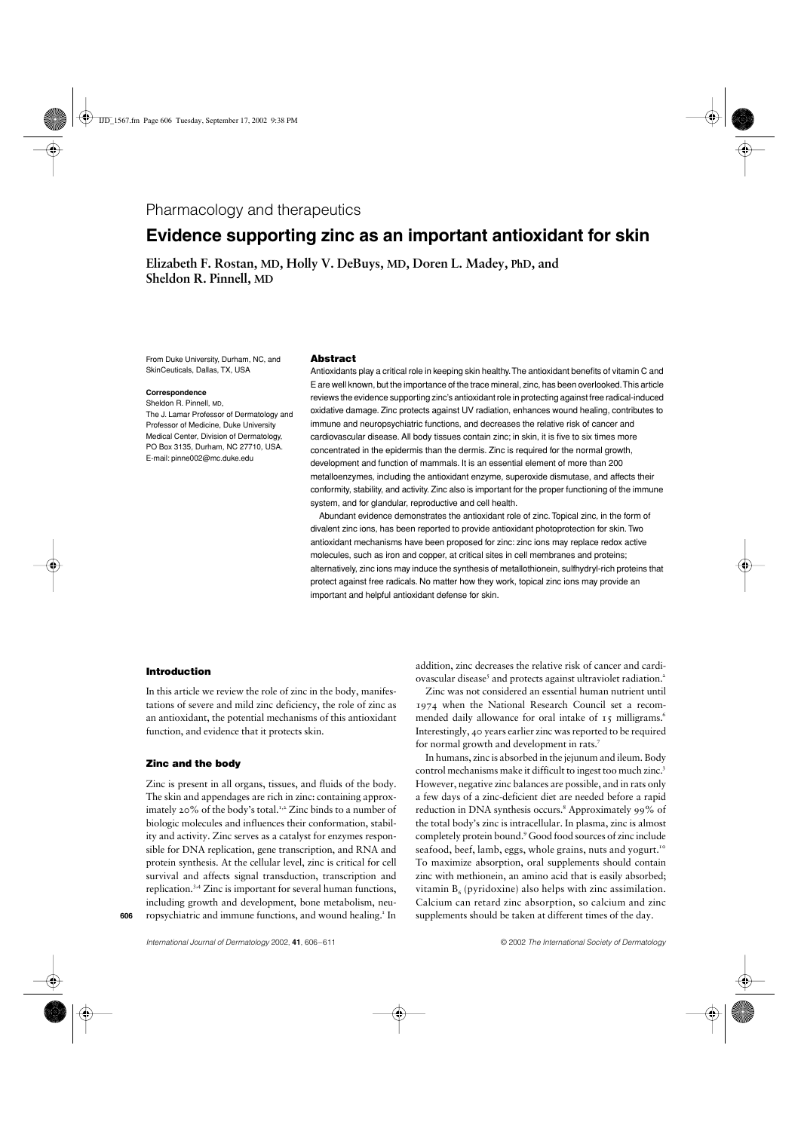# Evidence supporting zinc as an important antioxidant for skin

**Elizabeth F. Rostan, MD, Holly V. DeBuys, MD, Doren L. Madey, PhD, and Sheldon R. Pinnell, MD**

From Duke University, Durham, NC, and SkinCeuticals, Dallas, TX, USA

#### **Correspondence**

Sheldon R. Pinnell, MD,

The J. Lamar Professor of Dermatology and Professor of Medicine, Duke University Medical Center, Division of Dermatology, PO Box 3135, Durham, NC 27710, USA. E-mail: pinne002@mc.duke.edu

#### **Abstract**

Antioxidants play a critical role in keeping skin healthy. The antioxidant benefits of vitamin C and E are well known, but the importance of the trace mineral, zinc, has been overlooked. This article reviews the evidence supporting zinc's antioxidant role in protecting against free radical-induced oxidative damage. Zinc protects against UV radiation, enhances wound healing, contributes to immune and neuropsychiatric functions, and decreases the relative risk of cancer and cardiovascular disease. All body tissues contain zinc; in skin, it is five to six times more concentrated in the epidermis than the dermis. Zinc is required for the normal growth, development and function of mammals. It is an essential element of more than 200 metalloenzymes, including the antioxidant enzyme, superoxide dismutase, and affects their conformity, stability, and activity. Zinc also is important for the proper functioning of the immune system, and for glandular, reproductive and cell health.

Abundant evidence demonstrates the antioxidant role of zinc. Topical zinc, in the form of divalent zinc ions, has been reported to provide antioxidant photoprotection for skin. Two antioxidant mechanisms have been proposed for zinc: zinc ions may replace redox active molecules, such as iron and copper, at critical sites in cell membranes and proteins; alternatively, zinc ions may induce the synthesis of metallothionein, sulfhydryl-rich proteins that protect against free radicals. No matter how they work, topical zinc ions may provide an important and helpful antioxidant defense for skin.

# **Introduction**

In this article we review the role of zinc in the body, manifestations of severe and mild zinc deficiency, the role of zinc as an antioxidant, the potential mechanisms of this antioxidant function, and evidence that it protects skin.

# **Zinc and the body**

**606**

Zinc is present in all organs, tissues, and fluids of the body. The skin and appendages are rich in zinc: containing approximately 20% of the body's total.<sup>1,2</sup> Zinc binds to a number of biologic molecules and influences their conformation, stability and activity. Zinc serves as a catalyst for enzymes responsible for DNA replication, gene transcription, and RNA and protein synthesis. At the cellular level, zinc is critical for cell survival and affects signal transduction, transcription and replication.3,4 Zinc is important for several human functions, including growth and development, bone metabolism, neuropsychiatric and immune functions, and wound healing.<sup>1</sup> In

addition, zinc decreases the relative risk of cancer and cardiovascular disease<sup>5</sup> and protects against ultraviolet radiation.<sup>2</sup>

Zinc was not considered an essential human nutrient until 1974 when the National Research Council set a recommended daily allowance for oral intake of  $\tau$ 5 milligrams.<sup>6</sup> Interestingly, 40 years earlier zinc was reported to be required for normal growth and development in rats.7

In humans, zinc is absorbed in the jejunum and ileum. Body control mechanisms make it difficult to ingest too much zinc.<sup>3</sup> However, negative zinc balances are possible, and in rats only a few days of a zinc-deficient diet are needed before a rapid reduction in DNA synthesis occurs.<sup>8</sup> Approximately 99% of the total body's zinc is intracellular. In plasma, zinc is almost completely protein bound.<sup>9</sup> Good food sources of zinc include seafood, beef, lamb, eggs, whole grains, nuts and yogurt.<sup>10</sup> To maximize absorption, oral supplements should contain zinc with methionein, an amino acid that is easily absorbed; vitamin  $B_6$  (pyridoxine) also helps with zinc assimilation. Calcium can retard zinc absorption, so calcium and zinc supplements should be taken at different times of the day.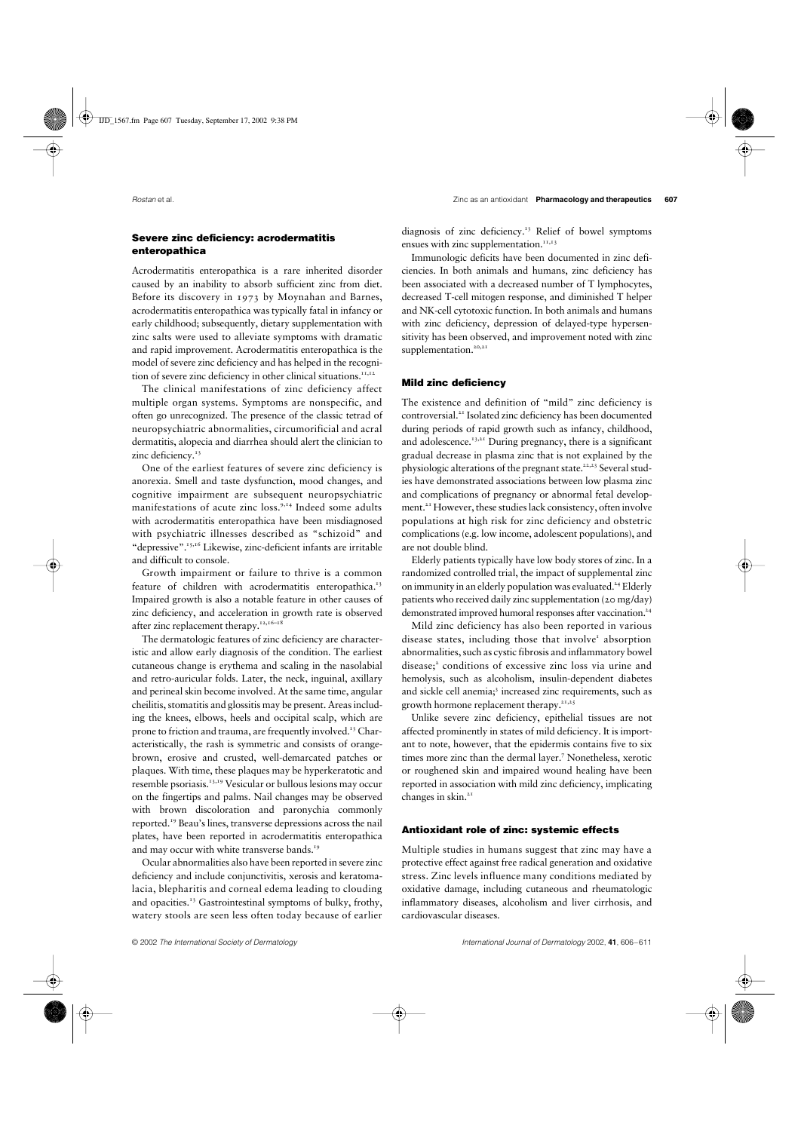# **Severe zinc deficiency: acrodermatitis enteropathica**

Acrodermatitis enteropathica is a rare inherited disorder caused by an inability to absorb sufficient zinc from diet. Before its discovery in 1973 by Moynahan and Barnes, acrodermatitis enteropathica was typically fatal in infancy or early childhood; subsequently, dietary supplementation with zinc salts were used to alleviate symptoms with dramatic and rapid improvement. Acrodermatitis enteropathica is the model of severe zinc deficiency and has helped in the recognition of severe zinc deficiency in other clinical situations.<sup>11,12</sup>

The clinical manifestations of zinc deficiency affect multiple organ systems. Symptoms are nonspecific, and often go unrecognized. The presence of the classic tetrad of neuropsychiatric abnormalities, circumorificial and acral dermatitis, alopecia and diarrhea should alert the clinician to zinc deficiency.<sup>13</sup>

One of the earliest features of severe zinc deficiency is anorexia. Smell and taste dysfunction, mood changes, and cognitive impairment are subsequent neuropsychiatric manifestations of acute zinc loss.9,14 Indeed some adults with acrodermatitis enteropathica have been misdiagnosed with psychiatric illnesses described as "schizoid" and "depressive".<sup>15,16</sup> Likewise, zinc-deficient infants are irritable and difficult to console.

Growth impairment or failure to thrive is a common feature of children with acrodermatitis enteropathica.<sup>13</sup> Impaired growth is also a notable feature in other causes of zinc deficiency, and acceleration in growth rate is observed after zinc replacement therapy. $12,16-18$ 

The dermatologic features of zinc deficiency are characteristic and allow early diagnosis of the condition. The earliest cutaneous change is erythema and scaling in the nasolabial and retro-auricular folds. Later, the neck, inguinal, axillary and perineal skin become involved. At the same time, angular cheilitis, stomatitis and glossitis may be present. Areas including the knees, elbows, heels and occipital scalp, which are prone to friction and trauma, are frequently involved.<sup>13</sup> Characteristically, the rash is symmetric and consists of orangebrown, erosive and crusted, well-demarcated patches or plaques. With time, these plaques may be hyperkeratotic and resemble psoriasis.<sup>13,19</sup> Vesicular or bullous lesions may occur on the fingertips and palms. Nail changes may be observed with brown discoloration and paronychia commonly reported.19 Beau's lines, transverse depressions across the nail plates, have been reported in acrodermatitis enteropathica and may occur with white transverse bands.<sup>19</sup>

Ocular abnormalities also have been reported in severe zinc deficiency and include conjunctivitis, xerosis and keratomalacia, blepharitis and corneal edema leading to clouding and opacities.<sup>13</sup> Gastrointestinal symptoms of bulky, frothy, watery stools are seen less often today because of earlier

diagnosis of zinc deficiency.<sup>13</sup> Relief of bowel symptoms ensues with zinc supplementation.<sup>11,13</sup>

Immunologic deficits have been documented in zinc deficiencies. In both animals and humans, zinc deficiency has been associated with a decreased number of T lymphocytes, decreased T-cell mitogen response, and diminished T helper and NK-cell cytotoxic function. In both animals and humans with zinc deficiency, depression of delayed-type hypersensitivity has been observed, and improvement noted with zinc supplementation.<sup>20,21</sup>

## **Mild zinc deficiency**

The existence and definition of "mild" zinc deficiency is controversial.21 Isolated zinc deficiency has been documented during periods of rapid growth such as infancy, childhood, and adolescence.<sup>13,21</sup> During pregnancy, there is a significant gradual decrease in plasma zinc that is not explained by the physiologic alterations of the pregnant state.<sup>22,23</sup> Several studies have demonstrated associations between low plasma zinc and complications of pregnancy or abnormal fetal development.<sup>21</sup> However, these studies lack consistency, often involve populations at high risk for zinc deficiency and obstetric complications (e.g. low income, adolescent populations), and are not double blind.

Elderly patients typically have low body stores of zinc. In a randomized controlled trial, the impact of supplemental zinc on immunity in an elderly population was evaluated.<sup>24</sup> Elderly patients who received daily zinc supplementation (20 mg/day) demonstrated improved humoral responses after vaccination.<sup>24</sup>

Mild zinc deficiency has also been reported in various disease states, including those that involve<sup>1</sup> absorption abnormalities, such as cystic fibrosis and inflammatory bowel disease;<sup>2</sup> conditions of excessive zinc loss via urine and hemolysis, such as alcoholism, insulin-dependent diabetes and sickle cell anemia;<sup>3</sup> increased zinc requirements, such as growth hormone replacement therapy. $21,25$ 

Unlike severe zinc deficiency, epithelial tissues are not affected prominently in states of mild deficiency. It is important to note, however, that the epidermis contains five to six times more zinc than the dermal layer.<sup>7</sup> Nonetheless, xerotic or roughened skin and impaired wound healing have been reported in association with mild zinc deficiency, implicating changes in skin.<sup>21</sup>

## **Antioxidant role of zinc: systemic effects**

Multiple studies in humans suggest that zinc may have a protective effect against free radical generation and oxidative stress. Zinc levels influence many conditions mediated by oxidative damage, including cutaneous and rheumatologic inflammatory diseases, alcoholism and liver cirrhosis, and cardiovascular diseases.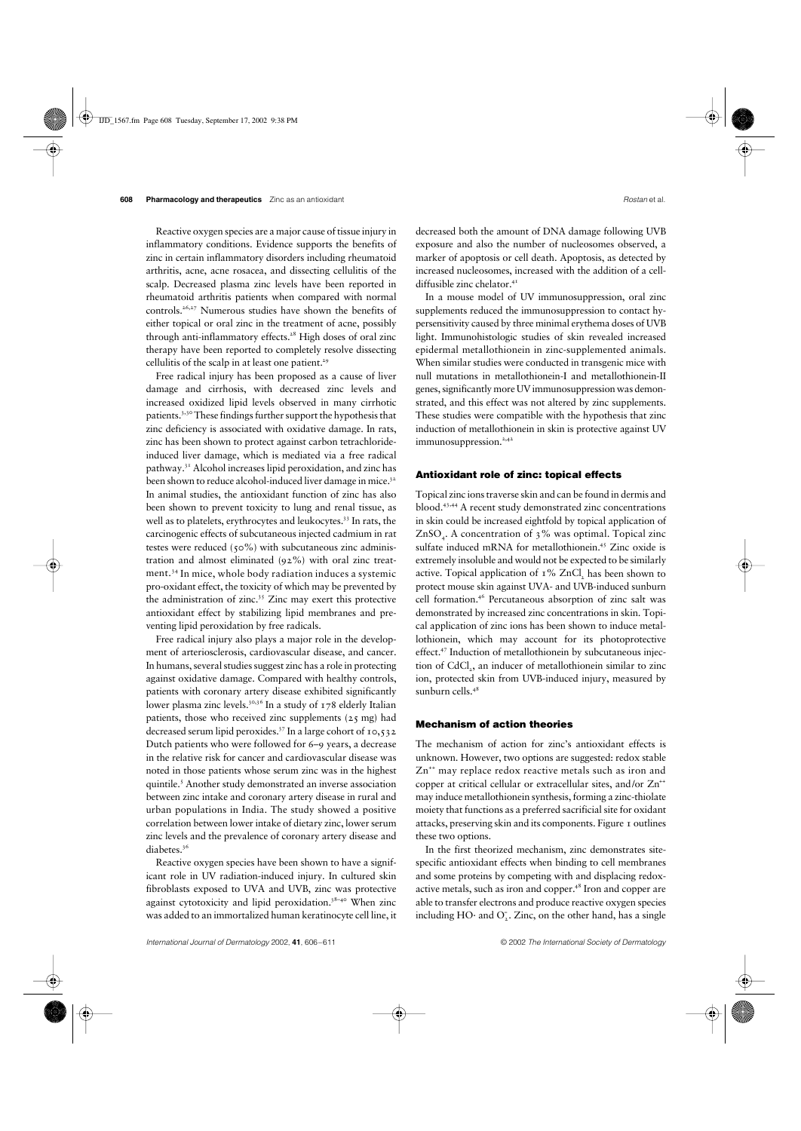Reactive oxygen species are a major cause of tissue injury in inflammatory conditions. Evidence supports the benefits of zinc in certain inflammatory disorders including rheumatoid arthritis, acne, acne rosacea, and dissecting cellulitis of the scalp. Decreased plasma zinc levels have been reported in rheumatoid arthritis patients when compared with normal controls.26,27 Numerous studies have shown the benefits of either topical or oral zinc in the treatment of acne, possibly through anti-inflammatory effects.<sup>28</sup> High doses of oral zinc therapy have been reported to completely resolve dissecting cellulitis of the scalp in at least one patient.<sup>29</sup>

Free radical injury has been proposed as a cause of liver damage and cirrhosis, with decreased zinc levels and increased oxidized lipid levels observed in many cirrhotic patients.3,30 These findings further support the hypothesis that zinc deficiency is associated with oxidative damage. In rats, zinc has been shown to protect against carbon tetrachlorideinduced liver damage, which is mediated via a free radical pathway.31 Alcohol increases lipid peroxidation, and zinc has been shown to reduce alcohol-induced liver damage in mice.<sup>32</sup> In animal studies, the antioxidant function of zinc has also been shown to prevent toxicity to lung and renal tissue, as well as to platelets, erythrocytes and leukocytes.<sup>33</sup> In rats, the carcinogenic effects of subcutaneous injected cadmium in rat testes were reduced (50%) with subcutaneous zinc administration and almost eliminated (92%) with oral zinc treatment.34 In mice, whole body radiation induces a systemic pro-oxidant effect, the toxicity of which may be prevented by the administration of zinc.<sup>35</sup> Zinc may exert this protective antioxidant effect by stabilizing lipid membranes and preventing lipid peroxidation by free radicals.

Free radical injury also plays a major role in the development of arteriosclerosis, cardiovascular disease, and cancer. In humans, several studies suggest zinc has a role in protecting against oxidative damage. Compared with healthy controls, patients with coronary artery disease exhibited significantly lower plasma zinc levels.<sup>30,36</sup> In a study of 178 elderly Italian patients, those who received zinc supplements (25 mg) had decreased serum lipid peroxides.37 In a large cohort of 10,532 Dutch patients who were followed for 6–9 years, a decrease in the relative risk for cancer and cardiovascular disease was noted in those patients whose serum zinc was in the highest quintile.<sup>5</sup> Another study demonstrated an inverse association between zinc intake and coronary artery disease in rural and urban populations in India. The study showed a positive correlation between lower intake of dietary zinc, lower serum zinc levels and the prevalence of coronary artery disease and diabetes.<sup>36</sup>

Reactive oxygen species have been shown to have a significant role in UV radiation-induced injury. In cultured skin fibroblasts exposed to UVA and UVB, zinc was protective against cytotoxicity and lipid peroxidation.<sup>38-40</sup> When zinc was added to an immortalized human keratinocyte cell line, it decreased both the amount of DNA damage following UVB exposure and also the number of nucleosomes observed, a marker of apoptosis or cell death. Apoptosis, as detected by increased nucleosomes, increased with the addition of a celldiffusible zinc chelator.<sup>41</sup>

In a mouse model of UV immunosuppression, oral zinc supplements reduced the immunosuppression to contact hypersensitivity caused by three minimal erythema doses of UVB light. Immunohistologic studies of skin revealed increased epidermal metallothionein in zinc-supplemented animals. When similar studies were conducted in transgenic mice with null mutations in metallothionein-I and metallothionein-II genes, significantly more UV immunosuppression was demonstrated, and this effect was not altered by zinc supplements. These studies were compatible with the hypothesis that zinc induction of metallothionein in skin is protective against UV immunosuppression.<sup>2,42</sup>

## **Antioxidant role of zinc: topical effects**

Topical zinc ions traverse skin and can be found in dermis and blood.43,44 A recent study demonstrated zinc concentrations in skin could be increased eightfold by topical application of  $ZnSO<sub>4</sub>$ . A concentration of 3% was optimal. Topical zinc sulfate induced mRNA for metallothionein.<sup>45</sup> Zinc oxide is extremely insoluble and would not be expected to be similarly active. Topical application of  $1\%$  ZnCl<sub>2</sub> has been shown to protect mouse skin against UVA- and UVB-induced sunburn cell formation.46 Percutaneous absorption of zinc salt was demonstrated by increased zinc concentrations in skin. Topical application of zinc ions has been shown to induce metallothionein, which may account for its photoprotective effect.<sup>47</sup> Induction of metallothionein by subcutaneous injection of CdCl<sub>2</sub>, an inducer of metallothionein similar to zinc ion, protected skin from UVB-induced injury, measured by sunburn cells.<sup>48</sup>

## **Mechanism of action theories**

The mechanism of action for zinc's antioxidant effects is unknown. However, two options are suggested: redox stable  $Zn^{++}$  may replace redox reactive metals such as iron and copper at critical cellular or extracellular sites, and/or Zn<sup>++</sup> may induce metallothionein synthesis, forming a zinc-thiolate moiety that functions as a preferred sacrificial site for oxidant attacks, preserving skin and its components. Figure 1 outlines these two options.

In the first theorized mechanism, zinc demonstrates sitespecific antioxidant effects when binding to cell membranes and some proteins by competing with and displacing redoxactive metals, such as iron and copper.48 Iron and copper are able to transfer electrons and produce reactive oxygen species including  $HO \cdot$  and  $O_z$ . Zinc, on the other hand, has a single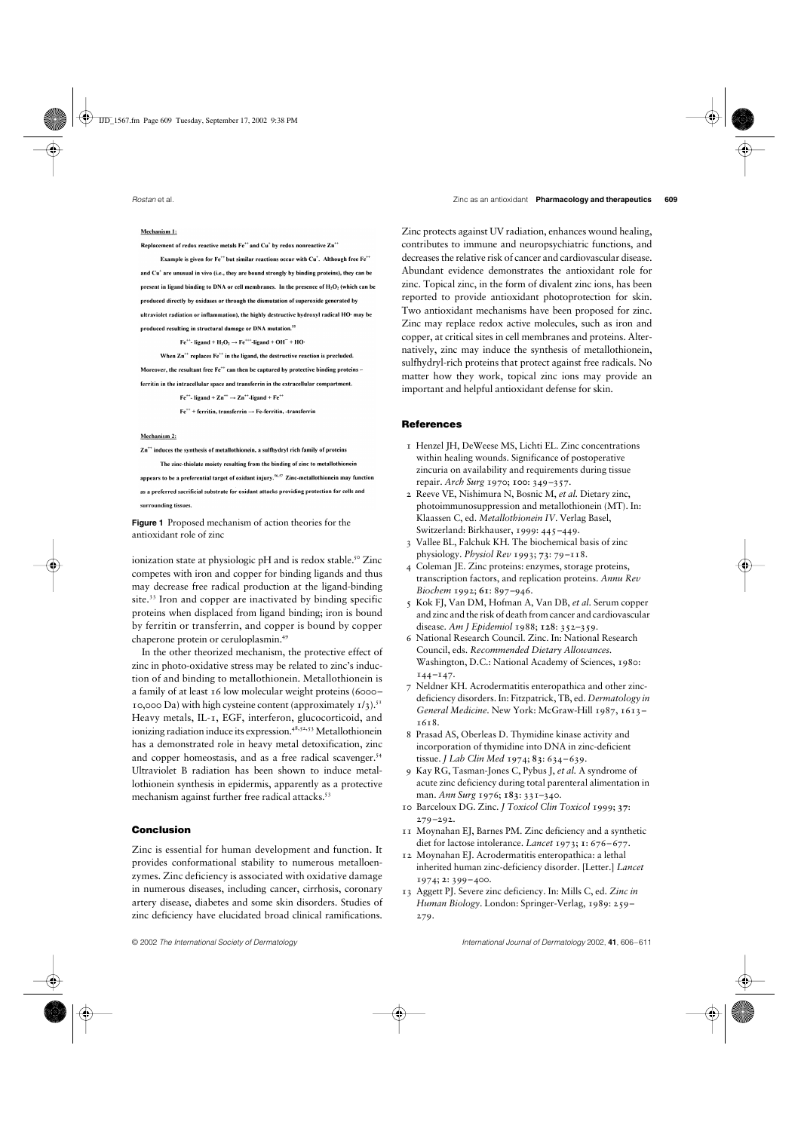#### Mechanism 1:

Replacement of redox reactive metals  $Fe^{++}$  and  $Cu^{+}$  by redox nonreactive  $Zn^{+}$ 

Example is given for Fe<sup>++</sup> but similar reactions occur with Cu<sup>+</sup>. Although free Fe<sup>++</sup> and  $Cu<sup>+</sup>$  are unusual in vivo (i.e., they are bound strongly by binding proteins), they can be present in ligand binding to DNA or cell membranes. In the presence of  $H_2O_2$  (which can be produced directly by oxidases or through the dismutation of superoxide generated by ultraviolet radiation or inflammation), the highly destructive hydroxyl radical HO· may be produced resulting in structural damage or DNA mutation.<sup>55</sup>

 $Fe^{++}$ - ligand +  $H_2O_2 \rightarrow Fe^{+++}$ -ligand + OH<sup>-</sup> + HO-

When  $\mathbf{Zn}^{++}$  replaces  $\mathbf{Fe}^{++}$  in the ligand, the destructive reaction is precluded. Moreover, the resultant free Fe<sup>++</sup> can then be captured by protective binding proteins ferritin in the intracellular space and transferrin in the extracellular compartment.

 $Fe^{++}$ - ligand + Zn<sup>++</sup>  $\rightarrow$  Zn<sup>++</sup>-ligand + Fe<sup>++</sup>

 $Fe^{++}$  + ferritin, transferrin  $\rightarrow$  Fe-ferritin, -transferrin

#### Mechanism 2:

Zn<sup>++</sup> induces the synthesis of metallothionein, a sulfhydryl rich family of proteins

The zinc-thiolate moiety resulting from the binding of zinc to metallothionein appears to be a preferential target of oxidant injury.<sup>56,57</sup> Zinc-metallothionein may function as a preferred sacrificial substrate for oxidant attacks providing protection for cells and surrounding tissues.

**Figure 1** Proposed mechanism of action theories for the antioxidant role of zinc

ionization state at physiologic pH and is redox stable.<sup>50</sup> Zinc competes with iron and copper for binding ligands and thus may decrease free radical production at the ligand-binding site.<sup>33</sup> Iron and copper are inactivated by binding specific proteins when displaced from ligand binding; iron is bound by ferritin or transferrin, and copper is bound by copper chaperone protein or ceruloplasmin.<sup>49</sup>

In the other theorized mechanism, the protective effect of zinc in photo-oxidative stress may be related to zinc's induction of and binding to metallothionein. Metallothionein is a family of at least 16 low molecular weight proteins (6000– 10,000 Da) with high cysteine content (approximately  $I/3$ ).<sup>51</sup> Heavy metals, IL-1, EGF, interferon, glucocorticoid, and ionizing radiation induce its expression.<sup>48,52,53</sup> Metallothionein has a demonstrated role in heavy metal detoxification, zinc and copper homeostasis, and as a free radical scavenger.<sup>54</sup> Ultraviolet B radiation has been shown to induce metallothionein synthesis in epidermis, apparently as a protective mechanism against further free radical attacks.<sup>53</sup>

# **Conclusion**

Zinc is essential for human development and function. It provides conformational stability to numerous metalloenzymes. Zinc deficiency is associated with oxidative damage in numerous diseases, including cancer, cirrhosis, coronary artery disease, diabetes and some skin disorders. Studies of zinc deficiency have elucidated broad clinical ramifications.

Zinc protects against UV radiation, enhances wound healing, contributes to immune and neuropsychiatric functions, and decreases the relative risk of cancer and cardiovascular disease. Abundant evidence demonstrates the antioxidant role for zinc. Topical zinc, in the form of divalent zinc ions, has been reported to provide antioxidant photoprotection for skin. Two antioxidant mechanisms have been proposed for zinc. Zinc may replace redox active molecules, such as iron and copper, at critical sites in cell membranes and proteins. Alternatively, zinc may induce the synthesis of metallothionein, sulfhydryl-rich proteins that protect against free radicals. No matter how they work, topical zinc ions may provide an important and helpful antioxidant defense for skin.

## **References**

- 1 Henzel JH, DeWeese MS, Lichti EL. Zinc concentrations within healing wounds. Significance of postoperative zincuria on availability and requirements during tissue repair. *Arch Surg* 1970; **100**: 349–357.
- 2 Reeve VE, Nishimura N, Bosnic M, *et al.* Dietary zinc, photoimmunosuppression and metallothionein (MT). In: Klaassen C, ed. *Metallothionein IV*. Verlag Basel, Switzerland: Birkhauser, 1999: 445–449.
- 3 Vallee BL, Falchuk KH. The biochemical basis of zinc physiology. *Physiol Rev* 1993; **73**: 79–118.
- 4 Coleman JE. Zinc proteins: enzymes, storage proteins, transcription factors, and replication proteins. *Annu Rev Biochem* 1992; **61**: 897–946.
- 5 Kok FJ, Van DM, Hofman A, Van DB, *et al.* Serum copper and zinc and the risk of death from cancer and cardiovascular disease. *Am J Epidemiol* 1988; **128**: 352–359.
- 6 National Research Council. Zinc. In: National Research Council, eds. *Recommended Dietary Allowances.* Washington, D.C.: National Academy of Sciences, 1980: 144–147.
- 7 Neldner KH. Acrodermatitis enteropathica and other zincdeficiency disorders. In: Fitzpatrick, TB, ed. *Dermatology in General Medicine*. New York: McGraw-Hill 1987, 1613– 1618.
- 8 Prasad AS, Oberleas D. Thymidine kinase activity and incorporation of thymidine into DNA in zinc-deficient tissue. *J Lab Clin Med* 1974; **83**: 634–639.
- 9 Kay RG, Tasman-Jones C, Pybus J, *et al.* A syndrome of acute zinc deficiency during total parenteral alimentation in man. *Ann Surg* 1976; **183**: 331–340.
- 10 Barceloux DG. Zinc. *J Toxicol Clin Toxicol* 1999; **37**: 279–292.
- 11 Moynahan EJ, Barnes PM. Zinc deficiency and a synthetic diet for lactose intolerance. *Lancet* 1973; **1**: 676–677.
- 12 Moynahan EJ. Acrodermatitis enteropathica: a lethal inherited human zinc-deficiency disorder. [Letter.] *Lancet* 1974; **2**: 399–400.
- 13 Aggett PJ. Severe zinc deficiency. In: Mills C, ed. *Zinc in Human Biology*. London: Springer-Verlag, 1989: 259– 279.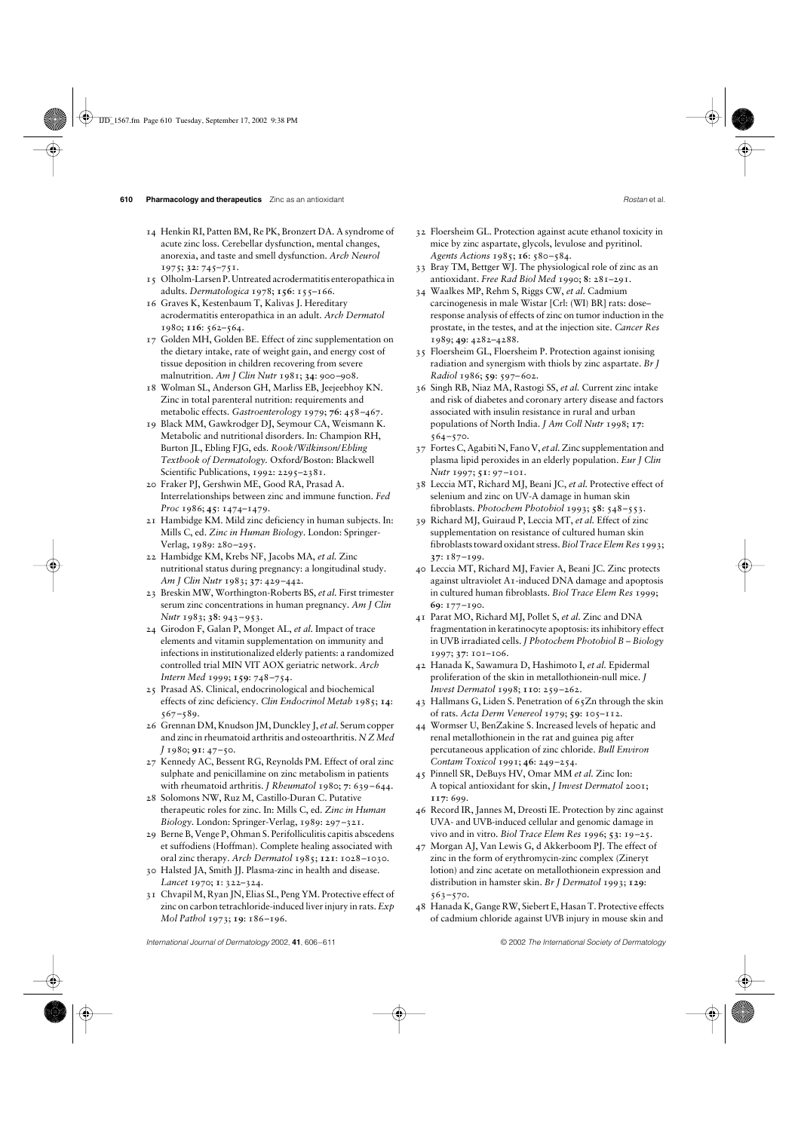- 14 Henkin RI, Patten BM, Re PK, Bronzert DA. A syndrome of acute zinc loss. Cerebellar dysfunction, mental changes, anorexia, and taste and smell dysfunction. *Arch Neurol* 1975; **32**: 745–751.
- 15 Olholm-Larsen P. Untreated acrodermatitis enteropathica in adults. *Dermatologica* 1978; **156**: 155–166.
- 16 Graves K, Kestenbaum T, Kalivas J. Hereditary acrodermatitis enteropathica in an adult. *Arch Dermatol* 1980; **116**: 562–564.
- 17 Golden MH, Golden BE. Effect of zinc supplementation on the dietary intake, rate of weight gain, and energy cost of tissue deposition in children recovering from severe malnutrition. *Am J Clin Nutr* 1981; **34**: 900–908.
- 18 Wolman SL, Anderson GH, Marliss EB, Jeejeebhoy KN. Zinc in total parenteral nutrition: requirements and metabolic effects. *Gastroenterology* 1979; **76**: 458–467.
- 19 Black MM, Gawkrodger DJ, Seymour CA, Weismann K. Metabolic and nutritional disorders. In: Champion RH, Burton JL, Ebling FJG, eds. *Rook/Wilkinson/Ebling Textbook of Dermatology.* Oxford/Boston: Blackwell Scientific Publications, 1992: 2295-2381.
- 20 Fraker PJ, Gershwin ME, Good RA, Prasad A. Interrelationships between zinc and immune function. *Fed Proc* 1986; **45**: 1474–1479.
- 21 Hambidge KM. Mild zinc deficiency in human subjects. In: Mills C, ed. *Zinc in Human Biology*. London: Springer-Verlag, 1989: 280–295.
- 22 Hambidge KM, Krebs NF, Jacobs MA, *et al.* Zinc nutritional status during pregnancy: a longitudinal study. *Am J Clin Nutr* 1983; **37**: 429–442.
- 23 Breskin MW, Worthington-Roberts BS, *et al.* First trimester serum zinc concentrations in human pregnancy. *Am J Clin Nutr* 1983; **38**: 943–953.
- 24 Girodon F, Galan P, Monget AL, *et al.* Impact of trace elements and vitamin supplementation on immunity and infections in institutionalized elderly patients: a randomized controlled trial MIN VIT AOX geriatric network. *Arch Intern Med* 1999; **159**: 748–754.
- 25 Prasad AS. Clinical, endocrinological and biochemical effects of zinc deficiency. *Clin Endocrinol Metab* 1985; **14**: 567–589.
- 26 Grennan DM, Knudson JM, Dunckley J, *et al.* Serum copper and zinc in rheumatoid arthritis and osteoarthritis. *N Z Med J* 1980; **91**: 47–50.
- 27 Kennedy AC, Bessent RG, Reynolds PM. Effect of oral zinc sulphate and penicillamine on zinc metabolism in patients with rheumatoid arthritis. *J Rheumatol* 1980; **7**: 639–644.
- 28 Solomons NW, Ruz M, Castillo-Duran C. Putative therapeutic roles for zinc. In: Mills C, ed. *Zinc in Human Biology*. London: Springer-Verlag, 1989: 297–321.
- 29 Berne B, Venge P, Ohman S. Perifolliculitis capitis abscedens et suffodiens (Hoffman). Complete healing associated with oral zinc therapy. *Arch Dermatol* 1985; **121**: 1028–1030.
- 30 Halsted JA, Smith JJ. Plasma-zinc in health and disease. *Lancet* 1970; **1**: 322–324.
- 31 Chvapil M, Ryan JN, Elias SL, Peng YM. Protective effect of zinc on carbon tetrachloride-induced liver injury in rats. *Exp Mol Pathol* 1973; **19**: 186–196.
- 32 Floersheim GL. Protection against acute ethanol toxicity in mice by zinc aspartate, glycols, levulose and pyritinol. *Agents Actions* 1985; **16**: 580–584.
- 33 Bray TM, Bettger WJ. The physiological role of zinc as an antioxidant. *Free Rad Biol Med* 1990; **8**: 281–291.
- 34 Waalkes MP, Rehm S, Riggs CW, *et al.* Cadmium carcinogenesis in male Wistar [Crl: (WI) BR] rats: dose– response analysis of effects of zinc on tumor induction in the prostate, in the testes, and at the injection site. *Cancer Res* 1989; **49**: 4282–4288.
- 35 Floersheim GL, Floersheim P. Protection against ionising radiation and synergism with thiols by zinc aspartate. *Br J Radiol* 1986; **59**: 597–602.
- 36 Singh RB, Niaz MA, Rastogi SS, *et al.* Current zinc intake and risk of diabetes and coronary artery disease and factors associated with insulin resistance in rural and urban populations of North India. *J Am Coll Nutr* 1998; **17**: 564–570.
- 37 Fortes C, Agabiti N, Fano V, *et al.* Zinc supplementation and plasma lipid peroxides in an elderly population. *Eur J Clin Nutr* 1997; **51**: 97–101.
- 38 Leccia MT, Richard MJ, Beani JC, *et al.* Protective effect of selenium and zinc on UV-A damage in human skin fibroblasts. *Photochem Photobiol* 1993; **58**: 548–553.
- 39 Richard MJ, Guiraud P, Leccia MT, *et al.* Effect of zinc supplementation on resistance of cultured human skin fibroblasts toward oxidant stress. *Biol Trace Elem Res* 1993; **37**: 187–199.
- 40 Leccia MT, Richard MJ, Favier A, Beani JC. Zinc protects against ultraviolet A1-induced DNA damage and apoptosis in cultured human fibroblasts. *Biol Trace Elem Res* 1999; **69**: 177–190.
- 41 Parat MO, Richard MJ, Pollet S, *et al.* Zinc and DNA fragmentation in keratinocyte apoptosis: its inhibitory effect in UVB irradiated cells. *J Photochem Photobiol B – Biology* 1997; **37**: 101–106.
- 42 Hanada K, Sawamura D, Hashimoto I, *et al.* Epidermal proliferation of the skin in metallothionein-null mice. *J Invest Dermatol* 1998; **110**: 259–262.
- 43 Hallmans G, Liden S. Penetration of 65Zn through the skin of rats. *Acta Derm Venereol* 1979; **59**: 105–112.
- 44 Wormser U, BenZakine S. Increased levels of hepatic and renal metallothionein in the rat and guinea pig after percutaneous application of zinc chloride. *Bull Environ Contam Toxicol* 1991; **46**: 249–254.
- 45 Pinnell SR, DeBuys HV, Omar MM *et al.* Zinc Ion: A topical antioxidant for skin, *J Invest Dermatol* 2001; **117**: 699.
- 46 Record IR, Jannes M, Dreosti IE. Protection by zinc against UVA- and UVB-induced cellular and genomic damage in vivo and in vitro. *Biol Trace Elem Res* 1996; **53**: 19–25.
- 47 Morgan AJ, Van Lewis G, d Akkerboom PJ. The effect of zinc in the form of erythromycin-zinc complex (Zineryt lotion) and zinc acetate on metallothionein expression and distribution in hamster skin. *Br J Dermatol* 1993; **129**: 563–570.
- 48 Hanada K, Gange RW, Siebert E, Hasan T. Protective effects of cadmium chloride against UVB injury in mouse skin and